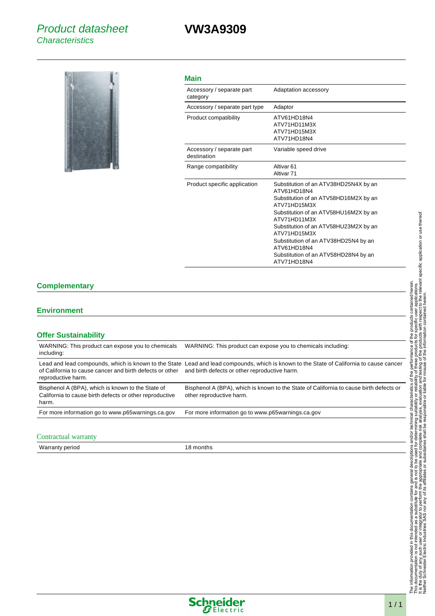## **VW3A9309**



|  | I |
|--|---|
|  |   |

| Accessory / separate part<br>category    | Adaptation accessory                                                                                                                                                                                                                                                                                                                          |
|------------------------------------------|-----------------------------------------------------------------------------------------------------------------------------------------------------------------------------------------------------------------------------------------------------------------------------------------------------------------------------------------------|
| Accessory / separate part type           | Adaptor                                                                                                                                                                                                                                                                                                                                       |
| Product compatibility                    | ATV61HD18N4<br>ATV71HD11M3X<br>ATV71HD15M3X<br>ATV71HD18N4                                                                                                                                                                                                                                                                                    |
| Accessory / separate part<br>destination | Variable speed drive                                                                                                                                                                                                                                                                                                                          |
| Range compatibility                      | Altivar <sub>61</sub><br>Altivar <sub>71</sub>                                                                                                                                                                                                                                                                                                |
| Product specific application             | Substitution of an ATV38HD25N4X by an<br>ATV61HD18N4<br>Substitution of an ATV58HD16M2X by an<br>ATV71HD15M3X<br>Substitution of an ATV58HU16M2X by an<br>ATV71HD11M3X<br>Substitution of an ATV58HU23M2X by an<br>ATV71HD15M3X<br>Substitution of an ATV38HD25N4 by an<br>ATV61HD18N4<br>Substitution of an ATV58HD28N4 by an<br>ATV71HD18N4 |

### **Complementary**

#### **Environment**

| WARNING: This product can expose you to chemicals<br>including:                                                       | WARNING: This product can expose you to chemicals including:                                                                                                                             |
|-----------------------------------------------------------------------------------------------------------------------|------------------------------------------------------------------------------------------------------------------------------------------------------------------------------------------|
| of California to cause cancer and birth defects or other<br>reproductive harm.                                        | Lead and lead compounds, which is known to the State Lead and lead compounds, which is known to the State of California to cause cancer<br>and birth defects or other reproductive harm. |
| Bisphenol A (BPA), which is known to the State of<br>California to cause birth defects or other reproductive<br>harm. | Bisphenol A (BPA), which is known to the State of California to cause birth defects or<br>other reproductive harm.                                                                       |
| For more information go to www.p65warnings.ca.gov                                                                     | For more information go to www.p65warnings.ca.gov                                                                                                                                        |

#### Contractual warranty

Warranty period 18 months